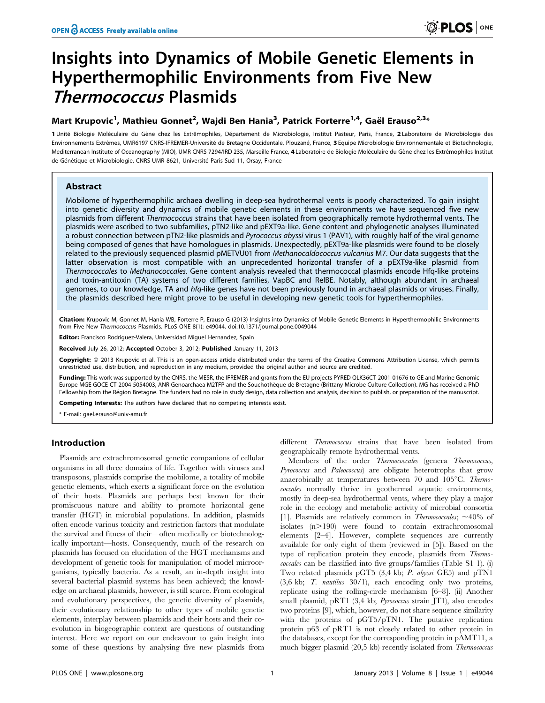# Insights into Dynamics of Mobile Genetic Elements in Hyperthermophilic Environments from Five New Thermococcus Plasmids

## Mart Krupovic<sup>1</sup>, Mathieu Gonnet<sup>2</sup>, Wajdi Ben Hania<sup>3</sup>, Patrick Forterre<sup>1,4</sup>, Gaël Erauso<sup>2,3</sup>\*

1 Unité Biologie Moléculaire du Gène chez les Extrêmophiles, Département de Microbiologie, Institut Pasteur, Paris, France, 2 Laboratoire de Microbiologie des Environnements Extrêmes, UMR6197 CNRS-IFREMER-Université de Bretagne Occidentale, Plouzané, France, 3 Equipe Microbiologie Environnementale et Biotechnologie, Mediterranean Institute of Oceanography (MIO), UMR CNRS 7294/IRD 235, Marseille France, 4 Laboratoire de Biologie Moléculaire du Gène chez les Extrêmophiles Institut de Génétique et Microbiologie, CNRS-UMR 8621, Université Paris-Sud 11, Orsay, France

## Abstract

Mobilome of hyperthermophilic archaea dwelling in deep-sea hydrothermal vents is poorly characterized. To gain insight into genetic diversity and dynamics of mobile genetic elements in these environments we have sequenced five new plasmids from different Thermococcus strains that have been isolated from geographically remote hydrothermal vents. The plasmids were ascribed to two subfamilies, pTN2-like and pEXT9a-like. Gene content and phylogenetic analyses illuminated a robust connection between pTN2-like plasmids and Pyrococcus abyssi virus 1 (PAV1), with roughly half of the viral genome being composed of genes that have homologues in plasmids. Unexpectedly, pEXT9a-like plasmids were found to be closely related to the previously sequenced plasmid pMETVU01 from Methanocaldococcus vulcanius M7. Our data suggests that the latter observation is most compatible with an unprecedented horizontal transfer of a pEXT9a-like plasmid from Thermococcales to Methanococcales. Gene content analysis revealed that thermococcal plasmids encode Hfq-like proteins and toxin-antitoxin (TA) systems of two different families, VapBC and RelBE. Notably, although abundant in archaeal genomes, to our knowledge, TA and hfq-like genes have not been previously found in archaeal plasmids or viruses. Finally, the plasmids described here might prove to be useful in developing new genetic tools for hyperthermophiles.

Citation: Krupovic M, Gonnet M, Hania WB, Forterre P, Erauso G (2013) Insights into Dynamics of Mobile Genetic Elements in Hyperthermophilic Environments from Five New Thermococcus Plasmids. PLoS ONE 8(1): e49044. doi:10.1371/journal.pone.0049044

Editor: Francisco Rodriguez-Valera, Universidad Miguel Hernandez, Spain

Received July 26, 2012; Accepted October 3, 2012; Published January 11, 2013

**Copyright:** © 2013 Krupovic et al. This is an open-access article distributed under the terms of the Creative Commons Attribution License, which permits unrestricted use, distribution, and reproduction in any medium, provided the original author and source are credited.

Funding: This work was supported by the CNRS, the MESR, the IFREMER and grants from the EU projects PYRED QLK36CT-2001-01676 to GE and Marine Genomic Europe MGE GOCE-CT-2004-5054003, ANR Genoarchaea M2TFP and the Souchothèque de Bretagne (Brittany Microbe Culture Collection). MG has received a PhD Fellowship from the Région Bretagne. The funders had no role in study design, data collection and analysis, decision to publish, or preparation of the manuscript.

Competing Interests: The authors have declared that no competing interests exist.

\* E-mail: gael.erauso@univ-amu.fr

#### Introduction

Plasmids are extrachromosomal genetic companions of cellular organisms in all three domains of life. Together with viruses and transposons, plasmids comprise the mobilome, a totality of mobile genetic elements, which exerts a significant force on the evolution of their hosts. Plasmids are perhaps best known for their promiscuous nature and ability to promote horizontal gene transfer (HGT) in microbial populations. In addition, plasmids often encode various toxicity and restriction factors that modulate the survival and fitness of their—often medically or biotechnologically important—hosts. Consequently, much of the research on plasmids has focused on elucidation of the HGT mechanisms and development of genetic tools for manipulation of model microorganisms, typically bacteria. As a result, an in-depth insight into several bacterial plasmid systems has been achieved; the knowledge on archaeal plasmids, however, is still scarce. From ecological and evolutionary perspectives, the genetic diversity of plasmids, their evolutionary relationship to other types of mobile genetic elements, interplay between plasmids and their hosts and their coevolution in biogeographic context are questions of outstanding interest. Here we report on our endeavour to gain insight into some of these questions by analysing five new plasmids from

different Thermococcus strains that have been isolated from geographically remote hydrothermal vents.

Members of the order Thermococcales (genera Thermococcus, Pyrococcus and Paleococcus) are obligate heterotrophs that grow anaerobically at temperatures between 70 and  $105^{\circ}$ C. Thermococcales normally thrive in geothermal aquatic environments, mostly in deep-sea hydrothermal vents, where they play a major role in the ecology and metabolic activity of microbial consortia [1]. Plasmids are relatively common in *Thermococcales*;  $\sim$  40% of isolates  $(n>190)$  were found to contain extrachromosomal elements [2–4]. However, complete sequences are currently available for only eight of them (reviewed in [5]). Based on the type of replication protein they encode, plasmids from Thermococcales can be classified into five groups/families (Table S1 1). (i) Two related plasmids pGT5 (3,4 kb; P. abyssi GE5) and pTN1 (3,6 kb; T. nautilus 30/1), each encoding only two proteins, replicate using the rolling-circle mechanism [6–8]. (ii) Another small plasmid, pRT1 (3,4 kb; Pyrococcus strain JT1), also encodes two proteins [9], which, however, do not share sequence similarity with the proteins of pGT5/pTN1. The putative replication protein p63 of pRT1 is not closely related to other protein in the databases, except for the corresponding protein in pAMT11, a much bigger plasmid (20,5 kb) recently isolated from Thermococcus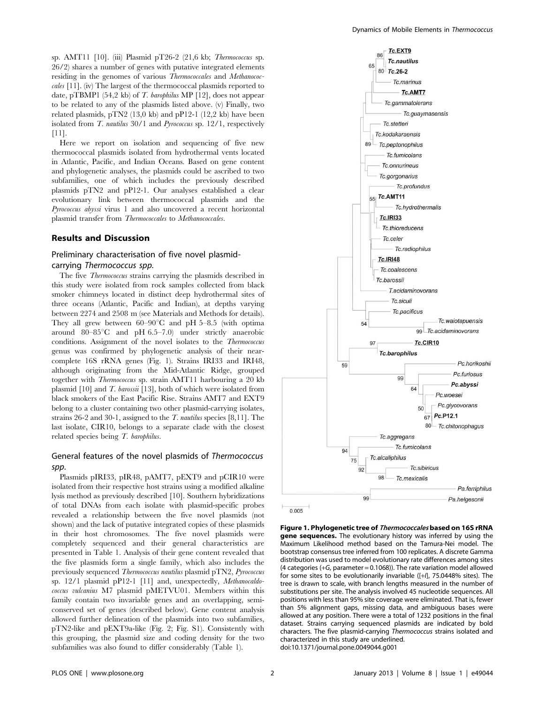sp. AMT11 [10]. (iii) Plasmid pT26-2 (21,6 kb; Thermococcus sp. 26/2) shares a number of genes with putative integrated elements residing in the genomes of various Thermococcales and Methanococcales [11]. (iv) The largest of the thermococcal plasmids reported to date, pTBMP1 (54,2 kb) of T. barophilus MP [12], does not appear to be related to any of the plasmids listed above. (v) Finally, two related plasmids, pTN2 (13,0 kb) and pP12-1 (12,2 kb) have been isolated from  $T$ . *nautilus*  $30/1$  and *Pyrococcus* sp.  $12/1$ , respectively [11].

Here we report on isolation and sequencing of five new thermococcal plasmids isolated from hydrothermal vents located in Atlantic, Pacific, and Indian Oceans. Based on gene content and phylogenetic analyses, the plasmids could be ascribed to two subfamilies, one of which includes the previously described plasmids pTN2 and pP12-1. Our analyses established a clear evolutionary link between thermococcal plasmids and the Pyrococcus abyssi virus 1 and also uncovered a recent horizontal plasmid transfer from Thermococcales to Methanococcales.

#### Results and Discussion

## Preliminary characterisation of five novel plasmidcarrying Thermococcus spp.

The five Thermococcus strains carrying the plasmids described in this study were isolated from rock samples collected from black smoker chimneys located in distinct deep hydrothermal sites of three oceans (Atlantic, Pacific and Indian), at depths varying between 2274 and 2508 m (see Materials and Methods for details). They all grew between  $60-90^{\circ}$ C and pH  $5-8.5$  (with optima around  $80-85^{\circ}\text{C}$  and pH 6.5–7.0) under strictly anaerobic conditions. Assignment of the novel isolates to the Thermococcus genus was confirmed by phylogenetic analysis of their nearcomplete 16S rRNA genes (Fig. 1). Strains IRI33 and IRI48, although originating from the Mid-Atlantic Ridge, grouped together with Thermococcus sp. strain AMT11 harbouring a 20 kb plasmid [10] and T. barossii [13], both of which were isolated from black smokers of the East Pacific Rise. Strains AMT7 and EXT9 belong to a cluster containing two other plasmid-carrying isolates, strains 26-2 and 30-1, assigned to the T. nautilus species [8,11]. The last isolate, CIR10, belongs to a separate clade with the closest related species being T. barophilus.

## General features of the novel plasmids of Thermococcus spp.

Plasmids pIRI33, pIR48, pAMT7, pEXT9 and pCIR10 were isolated from their respective host strains using a modified alkaline lysis method as previously described [10]. Southern hybridizations of total DNAs from each isolate with plasmid-specific probes revealed a relationship between the five novel plasmids (not shown) and the lack of putative integrated copies of these plasmids in their host chromosomes. The five novel plasmids were completely sequenced and their general characteristics are presented in Table 1. Analysis of their gene content revealed that the five plasmids form a single family, which also includes the previously sequenced Thermococcus nautilus plasmid pTN2, Pyrococcus sp. 12/1 plasmid pP12-1 [11] and, unexpectedly, Methanocaldococcus vulcanius M7 plasmid pMETVU01. Members within this family contain two invariable genes and an overlapping, semiconserved set of genes (described below). Gene content analysis allowed further delineation of the plasmids into two subfamilies, pTN2-like and pEXT9a-like (Fig. 2; Fig. S1). Consistently with this grouping, the plasmid size and coding density for the two subfamilies was also found to differ considerably (Table 1).



Figure 1. Phylogenetic tree of Thermococcales based on 16S rRNA gene sequences. The evolutionary history was inferred by using the Maximum Likelihood method based on the Tamura-Nei model. The bootstrap consensus tree inferred from 100 replicates. A discrete Gamma distribution was used to model evolutionary rate differences among sites (4 categories (+G, parameter = 0.1068)). The rate variation model allowed for some sites to be evolutionarily invariable ([+I], 75.0448% sites). The tree is drawn to scale, with branch lengths measured in the number of substitutions per site. The analysis involved 45 nucleotide sequences. All positions with less than 95% site coverage were eliminated. That is, fewer than 5% alignment gaps, missing data, and ambiguous bases were allowed at any position. There were a total of 1232 positions in the final dataset. Strains carrying sequenced plasmids are indicated by bold characters. The five plasmid-carrying Thermococcus strains isolated and characterized in this study are underlined. doi:10.1371/journal.pone.0049044.g001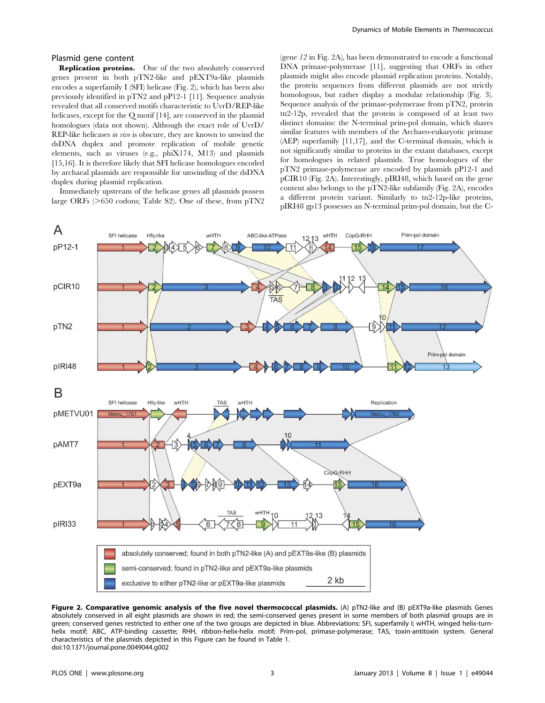#### Plasmid gene content

Replication proteins. One of the two absolutely conserved genes present in both pTN2-like and pEXT9a-like plasmids encodes a superfamily I (SFI) helicase (Fig. 2), which has been also previously identified in pTN2 and pP12-1 [11]. Sequence analysis revealed that all conserved motifs characteristic to UvrD/REP-like helicases, except for the Q motif [14], are conserved in the plasmid homologues (data not shown). Although the exact role of UvrD/ REP-like helicases in vivo is obscure, they are known to unwind the dsDNA duplex and promote replication of mobile genetic elements, such as viruses (e.g., phiX174, M13) and plasmids [15,16]. It is therefore likely that SFI helicase homologues encoded by archaeal plasmids are responsible for unwinding of the dsDNA duplex during plasmid replication.

Immediately upstream of the helicase genes all plasmids possess large ORFs ( $>650$  codons; Table S2). One of these, from pTN2

(gene 12 in Fig. 2A), has been demonstrated to encode a functional DNA primase-polymerase [11], suggesting that ORFs in other plasmids might also encode plasmid replication proteins. Notably, the protein sequences from different plasmids are not strictly homologous, but rather display a modular relationship (Fig. 3). Sequence analysis of the primase-polymerase from pTN2, protein tn2-12p, revealed that the protein is composed of at least two distinct domains: the N-terminal prim-pol domain, which shares similar features with members of the Archaeo-eukaryotic primase (AEP) superfamily [11,17], and the C-terminal domain, which is not significantly similar to proteins in the extant databases, except for homologues in related plasmids. True homologues of the pTN2 primase-polymerase are encoded by plasmids pP12-1 and pCIR10 (Fig. 2A). Interestingly, pIRI48, which based on the gene content also belongs to the pTN2-like subfamily (Fig. 2A), encodes a different protein variant. Similarly to tn2-12p-like proteins, pIRI48 gp13 possesses an N-terminal prim-pol domain, but the C-



Figure 2. Comparative genomic analysis of the five novel thermococcal plasmids. (A) pTN2-like and (B) pEXT9a-like plasmids Genes absolutely conserved in all eight plasmids are shown in red; the semi-conserved genes present in some members of both plasmid groups are in green; conserved genes restricted to either one of the two groups are depicted in blue. Abbreviations: SFI, superfamily I; wHTH, winged helix-turnhelix motif; ABC, ATP-binding cassette; RHH, ribbon-helix-helix motif; Prim-pol, primase-polymerase; TAS, toxin-antitoxin system. General characteristics of the plasmids depicted in this Figure can be found in Table 1. doi:10.1371/journal.pone.0049044.g002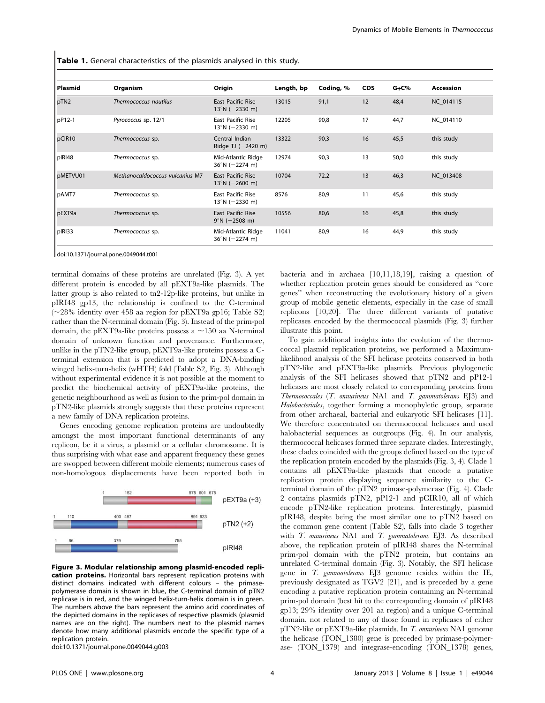Table 1. General characteristics of the plasmids analysed in this study.

| Plasmid  | Organism                        | Origin                                               | Length, bp | Coding, % | <b>CDS</b> | $G + C\%$ | Accession  |
|----------|---------------------------------|------------------------------------------------------|------------|-----------|------------|-----------|------------|
| pTN2     | Thermococcus nautilus           | <b>East Pacific Rise</b><br>$13^{\circ}$ N (-2330 m) | 13015      | 91,1      | 12         | 48,4      | NC 014115  |
| pP12-1   | Pyrococcus sp. 12/1             | East Pacific Rise<br>$13^{\circ}$ N (-2330 m)        | 12205      | 90,8      | 17         | 44,7      | NC 014110  |
| pCIR10   | Thermococcus sp.                | Central Indian<br>Ridge TJ $(-2420 \text{ m})$       | 13322      | 90,3      | 16         | 45,5      | this study |
| pIRI48   | Thermococcus sp.                | Mid-Atlantic Ridge<br>$36^{\circ}$ N (-2274 m)       | 12974      | 90,3      | 13         | 50,0      | this study |
| pMETVU01 | Methanocaldococcus vulcanius M7 | <b>East Pacific Rise</b><br>$13^{\circ}$ N (-2600 m) | 10704      | 72.2      | 13         | 46,3      | NC 013408  |
| pAMT7    | Thermococcus sp.                | East Pacific Rise<br>$13^{\circ}$ N (-2330 m)        | 8576       | 80,9      | 11         | 45,6      | this study |
| pEXT9a   | Thermococcus sp.                | <b>East Pacific Rise</b><br>$9^{\circ}$ N (-2508 m)  | 10556      | 80,6      | 16         | 45,8      | this study |
| pIRI33   | Thermococcus sp.                | Mid-Atlantic Ridge<br>$36^{\circ}$ N (-2274 m)       | 11041      | 80,9      | 16         | 44,9      | this study |

doi:10.1371/journal.pone.0049044.t001

terminal domains of these proteins are unrelated (Fig. 3). A yet different protein is encoded by all pEXT9a-like plasmids. The latter group is also related to tn2-12p-like proteins, but unlike in pIRI48 gp13, the relationship is confined to the C-terminal  $\sim$  28% identity over 458 aa region for pEXT9a gp16; Table S2) rather than the N-terminal domain (Fig. 3). Instead of the prim-pol domain, the pEXT9a-like proteins possess a  $\sim$ 150 aa N-terminal domain of unknown function and provenance. Furthermore, unlike in the pTN2-like group, pEXT9a-like proteins possess a Cterminal extension that is predicted to adopt a DNA-binding winged helix-turn-helix (wHTH) fold (Table S2, Fig. 3). Although without experimental evidence it is not possible at the moment to predict the biochemical activity of pEXT9a-like proteins, the genetic neighbourhood as well as fusion to the prim-pol domain in pTN2-like plasmids strongly suggests that these proteins represent a new family of DNA replication proteins.

Genes encoding genome replication proteins are undoubtedly amongst the most important functional determinants of any replicon, be it a virus, a plasmid or a cellular chromosome. It is thus surprising with what ease and apparent frequency these genes are swopped between different mobile elements; numerous cases of non-homologous displacements have been reported both in



Figure 3. Modular relationship among plasmid-encoded replication proteins. Horizontal bars represent replication proteins with distinct domains indicated with different colours – the primasepolymerase domain is shown in blue, the C-terminal domain of pTN2 replicase is in red, and the winged helix-turn-helix domain is in green. The numbers above the bars represent the amino acid coordinates of the depicted domains in the replicases of respective plasmids (plasmid names are on the right). The numbers next to the plasmid names denote how many additional plasmids encode the specific type of a replication protein.

doi:10.1371/journal.pone.0049044.g003

bacteria and in archaea [10,11,18,19], raising a question of whether replication protein genes should be considered as ''core genes'' when reconstructing the evolutionary history of a given group of mobile genetic elements, especially in the case of small replicons [10,20]. The three different variants of putative replicases encoded by the thermococcal plasmids (Fig. 3) further illustrate this point.

To gain additional insights into the evolution of the thermococcal plasmid replication proteins, we performed a Maximumlikelihood analysis of the SFI helicase proteins conserved in both pTN2-like and pEXT9a-like plasmids. Previous phylogenetic analysis of the SFI helicases showed that pTN2 and pP12-1 helicases are most closely related to corresponding proteins from Thermococcales  $(T.$  onnurineus NA1 and  $T.$  gammatolerans  $E[3]$  and Halobacteriales, together forming a monophyletic group, separate from other archaeal, bacterial and eukaryotic SFI helicases [11]. We therefore concentrated on thermococcal helicases and used halobacterial sequences as outgroups (Fig. 4). In our analysis, thermococcal helicases formed three separate clades. Interestingly, these clades coincided with the groups defined based on the type of the replication protein encoded by the plasmids (Fig. 3, 4). Clade 1 contains all pEXT9a-like plasmids that encode a putative replication protein displaying sequence similarity to the Cterminal domain of the pTN2 primase-polymerase (Fig. 4). Clade 2 contains plasmids pTN2, pP12-1 and pCIR10, all of which encode pTN2-like replication proteins. Interestingly, plasmid pIRI48, despite being the most similar one to pTN2 based on the common gene content (Table S2), falls into clade 3 together with *T. onnurineus* NA1 and *T. gammatolerans* EJ3. As described above, the replication protein of pIRI48 shares the N-terminal prim-pol domain with the pTN2 protein, but contains an unrelated C-terminal domain (Fig. 3). Notably, the SFI helicase gene in T. gammatolerans EJ3 genome resides within the IE, previously designated as TGV2 [21], and is preceded by a gene encoding a putative replication protein containing an N-terminal prim-pol domain (best hit to the corresponding domain of pIRI48 gp13; 29% identity over 201 aa region) and a unique C-terminal domain, not related to any of those found in replicases of either pTN2-like or pEXT9a-like plasmids. In T. onnurineus NA1 genome the helicase (TON\_1380) gene is preceded by primase-polymerase- (TON\_1379) and integrase-encoding (TON\_1378) genes,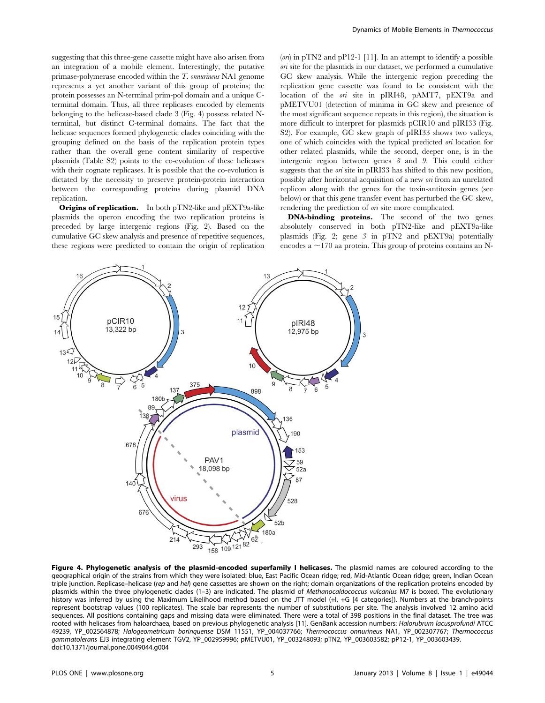suggesting that this three-gene cassette might have also arisen from an integration of a mobile element. Interestingly, the putative primase-polymerase encoded within the T. onnurineus NA1 genome represents a yet another variant of this group of proteins; the protein possesses an N-terminal prim-pol domain and a unique Cterminal domain. Thus, all three replicases encoded by elements belonging to the helicase-based clade 3 (Fig. 4) possess related Nterminal, but distinct C-terminal domains. The fact that the helicase sequences formed phylogenetic clades coinciding with the grouping defined on the basis of the replication protein types rather than the overall gene content similarity of respective plasmids (Table S2) points to the co-evolution of these helicases with their cognate replicases. It is possible that the co-evolution is dictated by the necessity to preserve protein-protein interaction between the corresponding proteins during plasmid DNA replication.

Origins of replication. In both pTN2-like and pEXT9a-like plasmids the operon encoding the two replication proteins is preceded by large intergenic regions (Fig. 2). Based on the cumulative GC skew analysis and presence of repetitive sequences, these regions were predicted to contain the origin of replication  $(0)$  in pTN2 and pP12-1 [11]. In an attempt to identify a possible ori site for the plasmids in our dataset, we performed a cumulative GC skew analysis. While the intergenic region preceding the replication gene cassette was found to be consistent with the location of the ori site in pIRI48, pAMT7, pEXT9a and pMETVU01 (detection of minima in GC skew and presence of the most significant sequence repeats in this region), the situation is more difficult to interpret for plasmids pCIR10 and pIRI33 (Fig. S2). For example, GC skew graph of pIRI33 shows two valleys, one of which coincides with the typical predicted ori location for other related plasmids, while the second, deeper one, is in the intergenic region between genes 8 and 9. This could either suggests that the ori site in pIRI33 has shifted to this new position, possibly after horizontal acquisition of a new ori from an unrelated replicon along with the genes for the toxin-antitoxin genes (see below) or that this gene transfer event has perturbed the GC skew, rendering the prediction of on site more complicated.

DNA-binding proteins. The second of the two genes absolutely conserved in both pTN2-like and pEXT9a-like plasmids (Fig. 2; gene 3 in pTN2 and pEXT9a) potentially encodes a  $\sim$ 170 aa protein. This group of proteins contains an N-



Figure 4. Phylogenetic analysis of the plasmid-encoded superfamily I helicases. The plasmid names are coloured according to the geographical origin of the strains from which they were isolated: blue, East Pacific Ocean ridge; red, Mid-Atlantic Ocean ridge; green, Indian Ocean triple junction. Replicase–helicase (rep and hel) gene cassettes are shown on the right; domain organizations of the replication proteins encoded by plasmids within the three phylogenetic clades (1-3) are indicated. The plasmid of Methanocaldococcus vulcanius M7 is boxed. The evolutionary history was inferred by using the Maximum Likelihood method based on the JTT model (+I, +G [4 categories]). Numbers at the branch-points represent bootstrap values (100 replicates). The scale bar represents the number of substitutions per site. The analysis involved 12 amino acid sequences. All positions containing gaps and missing data were eliminated. There were a total of 398 positions in the final dataset. The tree was rooted with helicases from haloarchaea, based on previous phylogenetic analysis [11]. GenBank accession numbers: Halorubrum lacusprofundi ATCC 49239, YP\_002564878; Halogeometricum borinquense DSM 11551, YP\_004037766; Thermococcus onnurineus NA1, YP\_002307767; Thermococcus gammatolerans EJ3 integrating element TGV2, YP\_002959996; pMETVU01, YP\_003248093; pTN2, YP\_003603582; pP12-1, YP\_003603439. doi:10.1371/journal.pone.0049044.g004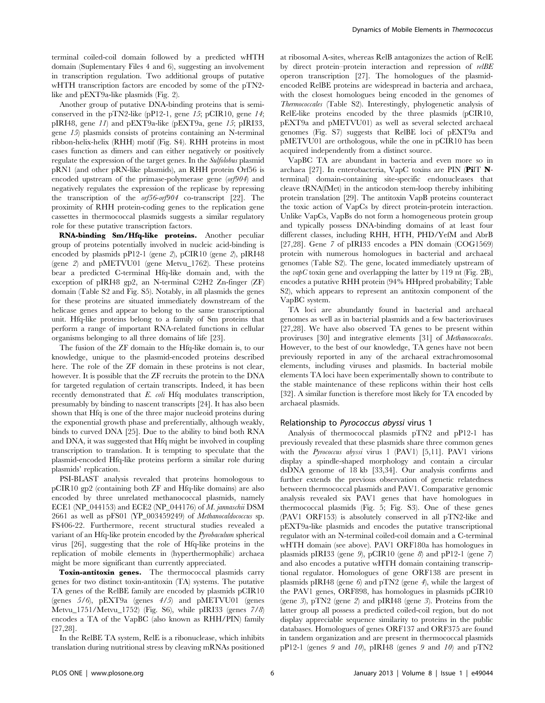terminal coiled-coil domain followed by a predicted wHTH domain (Suplementary Files 4 and 6), suggesting an involvement in transcription regulation. Two additional groups of putative wHTH transcription factors are encoded by some of the pTN2like and pEXT9a-like plasmids (Fig. 2).

Another group of putative DNA-binding proteins that is semiconserved in the pTN2-like (pP12-1, gene  $15$ ; pCIR10, gene  $14$ ; pIRI48, gene 11) and pEXT9a-like (pEXT9a, gene 15; pIRI33, gene 15) plasmids consists of proteins containing an N-terminal ribbon-helix-helix (RHH) motif (Fig. S4). RHH proteins in most cases function as dimers and can either negatively or positively regulate the expression of the target genes. In the Sulfolobus plasmid pRN1 (and other pRN-like plasmids), an RHH protein Orf56 is encoded upstream of the primase-polymerase gene (orf904) and negatively regulates the expression of the replicase by repressing the transcription of the orf56-orf904 co-transcript [22]. The proximity of RHH protein-coding genes to the replication gene cassettes in thermococcal plasmids suggests a similar regulatory role for these putative transcription factors.

RNA-binding Sm/Hfq-like proteins. Another peculiar group of proteins potentially involved in nucleic acid-binding is encoded by plasmids pP12-1 (gene 2), pCIR10 (gene 2), pIRI48 (gene 2) and pMETVU01 (gene Metvu\_1762). These proteins bear a predicted C-terminal Hfq-like domain and, with the exception of pIRI48 gp2, an N-terminal C2H2 Zn-finger (ZF) domain (Table S2 and Fig. S5). Notably, in all plasmids the genes for these proteins are situated immediately downstream of the helicase genes and appear to belong to the same transcriptional unit. Hfq-like proteins belong to a family of Sm proteins that perform a range of important RNA-related functions in cellular organisms belonging to all three domains of life [23].

The fusion of the ZF domain to the Hfq-like domain is, to our knowledge, unique to the plasmid-encoded proteins described here. The role of the ZF domain in these proteins is not clear, however. It is possible that the ZF recruits the protein to the DNA for targeted regulation of certain transcripts. Indeed, it has been recently demonstrated that E. coli Hfq modulates transcription, presumably by binding to nascent transcripts [24]. It has also been shown that Hfq is one of the three major nucleoid proteins during the exponential growth phase and preferentially, although weakly, binds to curved DNA [25]. Due to the ability to bind both RNA and DNA, it was suggested that Hfq might be involved in coupling transcription to translation. It is tempting to speculate that the plasmid-encoded Hfq-like proteins perform a similar role during plasmids' replication.

PSI-BLAST analysis revealed that proteins homologous to pCIR10 gp2 (containing both ZF and Hfq-like domains) are also encoded by three unrelated methanococcal plasmids, namely ECE1 (NP\_044153) and ECE2 (NP\_044176) of M. jannaschii DSM 2661 as well as pFS01 (YP\_003459249) of Methanocaldococcus sp. FS406-22. Furthermore, recent structural studies revealed a variant of an Hfq-like protein encoded by the Pyrobaculum spherical virus [26], suggesting that the role of Hfq-like proteins in the replication of mobile elements in (hyperthermophilic) archaea might be more significant than currently appreciated.

Toxin-antitoxin genes. The thermococcal plasmids carry genes for two distinct toxin-antitoxin (TA) systems. The putative TA genes of the RelBE family are encoded by plasmids pCIR10 (genes 5/6), pEXT9a (genes 4/5) and pMETVU01 (genes Metvu\_1751/Metvu\_1752) (Fig. S6), while pIRI33 (genes 7/8) encodes a TA of the VapBC (also known as RHH/PIN) family [27,28].

In the RelBE TA system, RelE is a ribonuclease, which inhibits translation during nutritional stress by cleaving mRNAs positioned

at ribosomal A-sites, whereas RelB antagonizes the action of RelE by direct protein–protein interaction and repression of relBE operon transcription [27]. The homologues of the plasmidencoded RelBE proteins are widespread in bacteria and archaea, with the closest homologues being encoded in the genomes of Thermococcales (Table S2). Interestingly, phylogenetic analysis of RelE-like proteins encoded by the three plasmids (pCIR10, pEXT9a and pMETVU01) as well as several selected archaeal genomes (Fig. S7) suggests that RelBE loci of pEXT9a and pMETVU01 are orthologous, while the one in pCIR10 has been acquired independently from a distinct source.

VapBC TA are abundant in bacteria and even more so in archaea [27]. In enterobacteria, VapC toxins are PIN (PilT Nterminal) domain-containing site-specific endonucleases that cleave tRNA(fMet) in the anticodon stem-loop thereby inhibiting protein translation [29]. The antitoxin VapB proteins counteract the toxic action of VapCs by direct protein-protein interaction. Unlike VapCs, VapBs do not form a homogeneous protein group and typically possess DNA-binding domains of at least four different classes, including RHH, HTH, PHD/YefM and AbrB [27,28]. Gene 7 of pIRI33 encodes a PIN domain (COG1569) protein with numerous homologues in bacterial and archaeal genomes (Table S2). The gene, located immediately upstream of the *vapC* toxin gene and overlapping the latter by 119 nt (Fig. 2B), encodes a putative RHH protein (94% HHpred probability; Table S2), which appears to represent an antitoxin component of the VapBC system.

TA loci are abundantly found in bacterial and archaeal genomes as well as in bacterial plasmids and a few bacterioviruses [27,28]. We have also observed TA genes to be present within proviruses [30] and integrative elements [31] of Methanococcales. However, to the best of our knowledge, TA genes have not been previously reported in any of the archaeal extrachromosomal elements, including viruses and plasmids. In bacterial mobile elements TA loci have been experimentally shown to contribute to the stable maintenance of these replicons within their host cells [32]. A similar function is therefore most likely for TA encoded by archaeal plasmids.

#### Relationship to Pyrococcus abyssi virus 1

Analysis of thermococcal plasmids pTN2 and pP12-1 has previously revealed that these plasmids share three common genes with the *Pyrococcus abyssi* virus 1 (PAV1) [5,11]. PAV1 virions display a spindle-shaped morphology and contain a circular dsDNA genome of 18 kb [33,34]. Our analysis confirms and further extends the previous observation of genetic relatedness between thermococcal plasmids and PAV1. Comparative genomic analysis revealed six PAV1 genes that have homologues in thermococcal plasmids (Fig. 5; Fig. S3). One of these genes (PAV1 ORF153) is absolutely conserved in all pTN2-like and pEXT9a-like plasmids and encodes the putative transcriptional regulator with an N-terminal coiled-coil domain and a C-terminal wHTH domain (see above). PAV1 ORF180a has homologues in plasmids pIRI33 (gene 9), pCIR10 (gene 8) and pP12-1 (gene 7) and also encodes a putative wHTH domain containing transcriptional regulator. Homologues of gene ORF138 are present in plasmids pIRI48 (gene  $6$ ) and pTN2 (gene  $4$ ), while the largest of the PAV1 genes, ORF898, has homologues in plasmids pCIR10 (gene 3), pTN2 (gene 2) and pIRI48 (gene 3). Proteins from the latter group all possess a predicted coiled-coil region, but do not display appreciable sequence similarity to proteins in the public databases. Homologues of genes ORF137 and ORF375 are found in tandem organization and are present in thermococcal plasmids pP12-1 (genes 9 and 10), pIRI48 (genes 9 and 10) and pTN2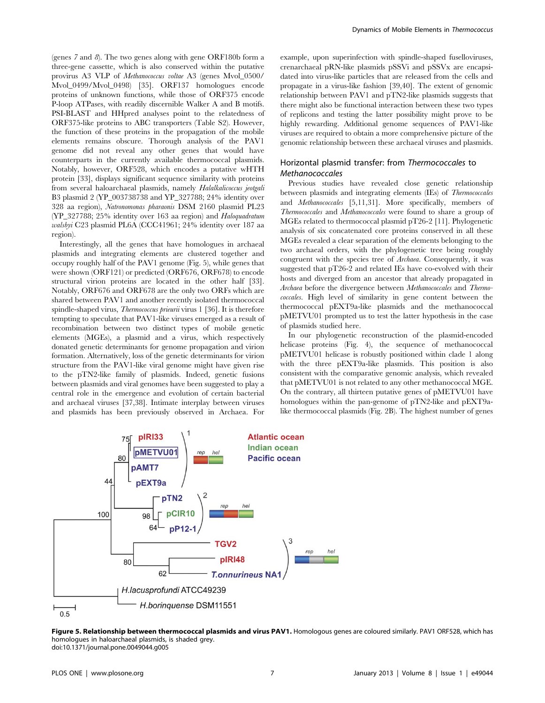(genes  $7$  and  $8$ ). The two genes along with gene ORF180b form a three-gene cassette, which is also conserved within the putative provirus A3 VLP of Methanococcus voltae A3 (genes Mvol\_0500/ Mvol\_0499/Mvol\_0498) [35]. ORF137 homologues encode proteins of unknown functions, while those of ORF375 encode P-loop ATPases, with readily discernible Walker A and B motifs. PSI-BLAST and HHpred analyses point to the relatedness of ORF375-like proteins to ABC transporters (Table S2). However, the function of these proteins in the propagation of the mobile elements remains obscure. Thorough analysis of the PAV1 genome did not reveal any other genes that would have counterparts in the currently available thermococcal plasmids. Notably, however, ORF528, which encodes a putative wHTH protein [33], displays significant sequence similarity with proteins from several haloarchaeal plasmids, namely Halalkalicoccus jeotgali B3 plasmid 2 (YP\_003738738 and YP\_327788; 24% identity over 328 aa region), Natronomonas pharaonis DSM 2160 plasmid PL23 (YP\_327788; 25% identity over 163 aa region) and Haloquadratum walsbyi C23 plasmid PL6A (CCC41961; 24% identity over 187 aa region).

Interestingly, all the genes that have homologues in archaeal plasmids and integrating elements are clustered together and occupy roughly half of the PAV1 genome (Fig. 5), while genes that were shown (ORF121) or predicted (ORF676, ORF678) to encode structural virion proteins are located in the other half [33]. Notably, ORF676 and ORF678 are the only two ORFs which are shared between PAV1 and another recently isolated thermococcal spindle-shaped virus, Thermococcus prieurii virus 1 [36]. It is therefore tempting to speculate that PAV1-like viruses emerged as a result of recombination between two distinct types of mobile genetic elements (MGEs), a plasmid and a virus, which respectively donated genetic determinants for genome propagation and virion formation. Alternatively, loss of the genetic determinants for virion structure from the PAV1-like viral genome might have given rise to the pTN2-like family of plasmids. Indeed, genetic fusions between plasmids and viral genomes have been suggested to play a central role in the emergence and evolution of certain bacterial and archaeal viruses [37,38]. Intimate interplay between viruses and plasmids has been previously observed in Archaea. For example, upon superinfection with spindle-shaped fuselloviruses, crenarchaeal pRN-like plasmids pSSVi and pSSVx are encapsidated into virus-like particles that are released from the cells and propagate in a virus-like fashion [39,40]. The extent of genomic relationship between PAV1 and pTN2-like plasmids suggests that there might also be functional interaction between these two types of replicons and testing the latter possibility might prove to be highly rewarding. Additional genome sequences of PAV1-like viruses are required to obtain a more comprehensive picture of the genomic relationship between these archaeal viruses and plasmids.

## Horizontal plasmid transfer: from Thermococcales to Methanococcales

Previous studies have revealed close genetic relationship between plasmids and integrating elements (IEs) of Thermococcales and Methanococcales [5,11,31]. More specifically, members of Thermococcales and Methanococcales were found to share a group of MGEs related to thermococcal plasmid pT26-2 [11]. Phylogenetic analysis of six concatenated core proteins conserved in all these MGEs revealed a clear separation of the elements belonging to the two archaeal orders, with the phylogenetic tree being roughly congruent with the species tree of Archaea. Consequently, it was suggested that pT26-2 and related IEs have co-evolved with their hosts and diverged from an ancestor that already propagated in Archaea before the divergence between Methanococcales and Thermococcales. High level of similarity in gene content between the thermococcal pEXT9a-like plasmids and the methanococcal pMETVU01 prompted us to test the latter hypothesis in the case of plasmids studied here.

In our phylogenetic reconstruction of the plasmid-encoded helicase proteins (Fig. 4), the sequence of methanococcal pMETVU01 helicase is robustly positioned within clade 1 along with the three pEXT9a-like plasmids. This position is also consistent with the comparative genomic analysis, which revealed that pMETVU01 is not related to any other methanococcal MGE. On the contrary, all thirteen putative genes of pMETVU01 have homologues within the pan-genome of pTN2-like and pEXT9alike thermococcal plasmids (Fig. 2B). The highest number of genes



Figure 5. Relationship between thermococcal plasmids and virus PAV1. Homologous genes are coloured similarly. PAV1 ORF528, which has homologues in haloarchaeal plasmids, is shaded grey. doi:10.1371/journal.pone.0049044.g005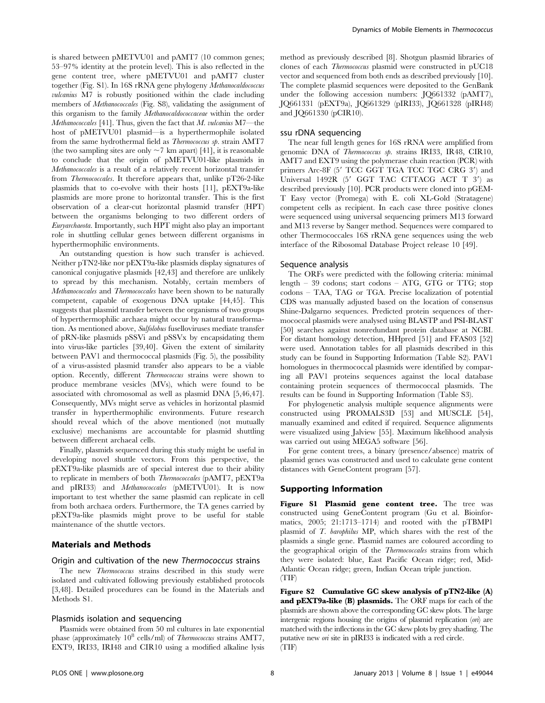is shared between pMETVU01 and pAMT7 (10 common genes; 53–97% identity at the protein level). This is also reflected in the gene content tree, where pMETVU01 and pAMT7 cluster together (Fig. S1). In 16S rRNA gene phylogeny Methanocaldococcus vulcanius M7 is robustly positioned within the clade including members of Methanococcales (Fig. S8), validating the assignment of this organism to the family Methanocaldococcaceae within the order *Methanococcales* [41]. Thus, given the fact that  $M$ . *vulcanius* M7—the host of pMETVU01 plasmid—is a hyperthermophile isolated from the same hydrothermal field as Thermococcus sp. strain AMT7 (the two sampling sites are only  $\sim$  7 km apart) [41], it is reasonable to conclude that the origin of pMETVU01-like plasmids in Methanococcales is a result of a relatively recent horizontal transfer from Thermococcales. It therefore appears that, unlike pT26-2-like plasmids that to co-evolve with their hosts [11], pEXT9a-like plasmids are more prone to horizontal transfer. This is the first observation of a clear-cut horizontal plasmid transfer (HPT) between the organisms belonging to two different orders of Euryarchaeota. Importantly, such HPT might also play an important role in shuttling cellular genes between different organisms in hyperthermophilic environments.

An outstanding question is how such transfer is achieved. Neither pTN2-like nor pEXT9a-like plasmids display signatures of canonical conjugative plasmids [42,43] and therefore are unlikely to spread by this mechanism. Notably, certain members of Methanococcales and Thermococcales have been shown to be naturally competent, capable of exogenous DNA uptake [44,45]. This suggests that plasmid transfer between the organisms of two groups of hyperthermophilic archaea might occur by natural transformation. As mentioned above, Sulfolobus fuselloviruses mediate transfer of pRN-like plasmids pSSVi and pSSVx by encapsidating them into virus-like particles [39,40]. Given the extent of similarity between PAV1 and thermococcal plasmids (Fig. 5), the possibility of a virus-assisted plasmid transfer also appears to be a viable option. Recently, different Thermococcus strains were shown to produce membrane vesicles (MVs), which were found to be associated with chromosomal as well as plasmid DNA [5,46,47]. Consequently, MVs might serve as vehicles in horizontal plasmid transfer in hyperthermophilic environments. Future research should reveal which of the above mentioned (not mutually exclusive) mechanisms are accountable for plasmid shuttling between different archaeal cells.

Finally, plasmids sequenced during this study might be useful in developing novel shuttle vectors. From this perspective, the pEXT9a-like plasmids are of special interest due to their ability to replicate in members of both Thermococcales (pAMT7, pEXT9a and pIRI33) and Methanococcales (pMETVU01). It is now important to test whether the same plasmid can replicate in cell from both archaea orders. Furthermore, the TA genes carried by pEXT9a-like plasmids might prove to be useful for stable maintenance of the shuttle vectors.

#### Materials and Methods

#### Origin and cultivation of the new Thermococcus strains

The new *Thermococcus* strains described in this study were isolated and cultivated following previously established protocols [3,48]. Detailed procedures can be found in the Materials and Methods S1.

#### Plasmids isolation and sequencing

Plasmids were obtained from 50 ml cultures in late exponential phase (approximately  $10^8$  cells/ml) of *Thermococcus* strains AMT7, EXT9, IRI33, IRI48 and CIR10 using a modified alkaline lysis method as previously described [8]. Shotgun plasmid libraries of clones of each Thermococcus plasmid were constructed in pUC18 vector and sequenced from both ends as described previously [10]. The complete plasmid sequences were deposited to the GenBank under the following accession numbers: JQ661332 (pAMT7), JQ661331 (pEXT9a), JQ661329 (pIRI33), JQ661328 (pIRI48) and JQ661330 (pCIR10).

#### ssu rDNA sequencing

The near full length genes for 16S rRNA were amplified from genomic DNA of Thermococcus sp. strains IRI33, IR48, CIR10, AMT7 and EXT9 using the polymerase chain reaction (PCR) with primers Arc-8F (5' TCC GGT TGA TCC TGC CRG 3') and Universal  $1492R$  (5' GGT TAC CTTACG ACT T 3') as described previously [10]. PCR products were cloned into pGEM-T Easy vector (Promega) with E. coli XL-Gold (Stratagene) competent cells as recipient. In each case three positive clones were sequenced using universal sequencing primers M13 forward and M13 reverse by Sanger method. Sequences were compared to other Thermococcales 16S rRNA gene sequences using the web interface of the Ribosomal Database Project release 10 [49].

#### Sequence analysis

The ORFs were predicted with the following criteria: minimal length – 39 codons; start codons – ATG, GTG or TTG; stop codons – TAA, TAG or TGA. Precise localization of potential CDS was manually adjusted based on the location of consensus Shine-Dalgarno sequences. Predicted protein sequences of thermococcal plasmids were analysed using BLASTP and PSI-BLAST [50] searches against nonredundant protein database at NCBI. For distant homology detection, HHpred [51] and FFAS03 [52] were used. Annotation tables for all plasmids described in this study can be found in Supporting Information (Table S2). PAV1 homologues in thermococcal plasmids were identified by comparing all PAV1 proteins sequences against the local database containing protein sequences of thermococcal plasmids. The results can be found in Supporting Information (Table S3).

For phylogenetic analysis multiple sequence alignments were constructed using PROMALS3D [53] and MUSCLE [54], manually examined and edited if required. Sequence alignments were visualized using Jalview [55]. Maximum likelihood analysis was carried out using MEGA5 software [56].

For gene content trees, a binary (presence/absence) matrix of plasmid genes was constructed and used to calculate gene content distances with GeneContent program [57].

#### Supporting Information

Figure S1 Plasmid gene content tree. The tree was constructed using GeneContent program (Gu et al. Bioinformatics, 2005; 21:1713–1714) and rooted with the pTBMP1 plasmid of T. barophilus MP, which shares with the rest of the plasmids a single gene. Plasmid names are coloured according to the geographical origin of the Thermococcales strains from which they were isolated: blue, East Pacific Ocean ridge; red, Mid-Atlantic Ocean ridge; green, Indian Ocean triple junction. (TIF)

Figure S2 Cumulative GC skew analysis of pTN2-like (A) and pEXT9a-like (B) plasmids. The ORF maps for each of the plasmids are shown above the corresponding GC skew plots. The large intergenic regions housing the origins of plasmid replication (ori) are matched with the inflections in the GC skew plots by grey shading. The putative new ori site in pIRI33 is indicated with a red circle. (TIF)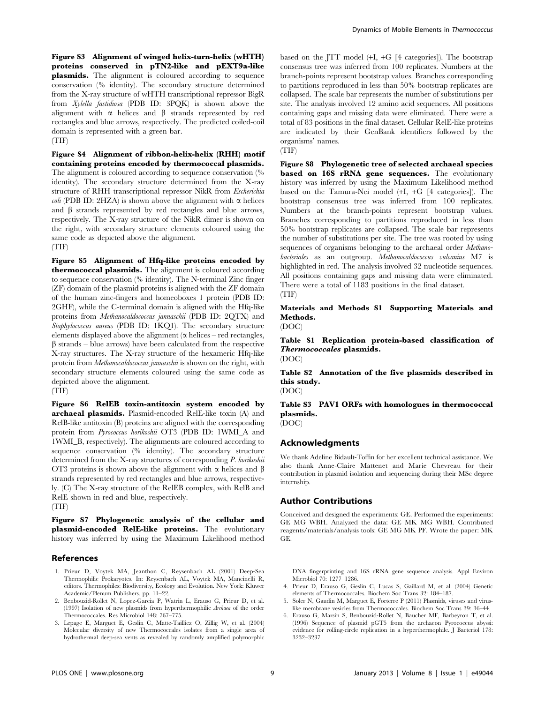Figure S3 Alignment of winged helix-turn-helix (wHTH) proteins conserved in pTN2-like and pEXT9a-like plasmids. The alignment is coloured according to sequence conservation (% identity). The secondary structure determined from the X-ray structure of wHTH transcriptional repressor BigR from Xylella fastidiosa (PDB ID: 3PQK) is shown above the alignment with  $\alpha$  helices and  $\beta$  strands represented by red rectangles and blue arrows, respectively. The predicted coiled-coil domain is represented with a green bar. (TIF)

Figure S4 Alignment of ribbon-helix-helix (RHH) motif containing proteins encoded by thermococcal plasmids. The alignment is coloured according to sequence conservation (% identity). The secondary structure determined from the X-ray structure of RHH transcriptional repressor NikR from Escherichia *coli* (PDB ID: 2HZA) is shown above the alignment with  $\alpha$  helices and  $\beta$  strands represented by red rectangles and blue arrows, respectively. The X-ray structure of the NikR dimer is shown on the right, with secondary structure elements coloured using the same code as depicted above the alignment. (TIF)

Figure S5 Alignment of Hfq-like proteins encoded by thermococcal plasmids. The alignment is coloured according to sequence conservation (% identity). The N-terminal Zinc finger (ZF) domain of the plasmid proteins is aligned with the ZF domain of the human zinc-fingers and homeoboxes 1 protein (PDB ID: 2GHF), while the C-terminal domain is aligned with the Hfq-like proteins from Methanocaldococcus jannaschii (PDB ID: 2QTX) and Staphylococcus aureus (PDB ID: 1KQ1). The secondary structure elements displayed above the alignment ( $\alpha$  helices – red rectangles,  $\beta$  strands – blue arrows) have been calculated from the respective X-ray structures. The X-ray structure of the hexameric Hfq-like protein from Methanocaldococcus jannaschii is shown on the right, with secondary structure elements coloured using the same code as depicted above the alignment.

(TIF)

Figure S6 RelEB toxin-antitoxin system encoded by archaeal plasmids. Plasmid-encoded RelE-like toxin (A) and RelB-like antitoxin (B) proteins are aligned with the corresponding protein from Pyrococcus horikoshii OT3 (PDB ID: 1WMI\_A and 1WMI\_B, respectively). The alignments are coloured according to sequence conservation (% identity). The secondary structure determined from the X-ray structures of corresponding P. horikoshii OT3 proteins is shown above the alignment with  $\alpha$  helices and  $\beta$ strands represented by red rectangles and blue arrows, respectively. (C) The X-ray structure of the RelEB complex, with RelB and RelE shown in red and blue, respectively.

(TIF)

Figure S7 Phylogenetic analysis of the cellular and plasmid-encoded RelE-like proteins. The evolutionary history was inferred by using the Maximum Likelihood method

#### References

- 1. Prieur D, Voytek MA, Jeanthon C, Reysenbach AL (2001) Deep-Sea Thermophilic Prokaryotes. In: Reysenbach AL, Voytek MA, Mancinelli R, editors. Thermophiles: Biodiversity, Ecology and Evolution. New York: Kluwer Academic/Plenum Publishers. pp. 11–22.
- 2. Benbouzid-Rollet N, Lopez-Garcia P, Watrin L, Erauso G, Prieur D, et al. (1997) Isolation of new plasmids from hyperthermophilic Archaea of the order Thermococcales. Res Microbiol 148: 767–775.
- 3. Lepage E, Marguet E, Geslin C, Matte-Tailliez O, Zillig W, et al. (2004) Molecular diversity of new Thermococcales isolates from a single area of hydrothermal deep-sea vents as revealed by randomly amplified polymorphic

based on the JTT model (+I, +G [4 categories]). The bootstrap consensus tree was inferred from 100 replicates. Numbers at the branch-points represent bootstrap values. Branches corresponding to partitions reproduced in less than 50% bootstrap replicates are collapsed. The scale bar represents the number of substitutions per site. The analysis involved 12 amino acid sequences. All positions containing gaps and missing data were eliminated. There were a total of 83 positions in the final dataset. Cellular RelE-like proteins are indicated by their GenBank identifiers followed by the organisms' names.

(TIF)

Figure S8 Phylogenetic tree of selected archaeal species based on 16S rRNA gene sequences. The evolutionary history was inferred by using the Maximum Likelihood method based on the Tamura-Nei model (+I, +G [4 categories]). The bootstrap consensus tree was inferred from 100 replicates. Numbers at the branch-points represent bootstrap values. Branches corresponding to partitions reproduced in less than 50% bootstrap replicates are collapsed. The scale bar represents the number of substitutions per site. The tree was rooted by using sequences of organisms belonging to the archaeal order Methanobacteriales as an outgroup. Methanocaldococcus vulcanius M7 is highlighted in red. The analysis involved 32 nucleotide sequences. All positions containing gaps and missing data were eliminated. There were a total of 1183 positions in the final dataset. (TIF)

Materials and Methods S1 Supporting Materials and Methods.

(DOC)

Table S1 Replication protein-based classification of Thermococcales plasmids. (DOC)

Table S2 Annotation of the five plasmids described in this study.

(DOC)

Table S3 PAV1 ORFs with homologues in thermococcal plasmids.

(DOC)

#### Acknowledgments

We thank Adeline Bidault-Toffin for her excellent technical assistance. We also thank Anne-Claire Mattenet and Marie Chevreau for their contribution in plasmid isolation and sequencing during their MSc degree internship.

#### Author Contributions

Conceived and designed the experiments: GE. Performed the experiments: GE MG WBH. Analyzed the data: GE MK MG WBH. Contributed reagents/materials/analysis tools: GE MG MK PF. Wrote the paper: MK GE.

DNA fingerprinting and 16S rRNA gene sequence analysis. Appl Environ Microbiol 70: 1277–1286.

- 4. Prieur D, Erauso G, Geslin C, Lucas S, Gaillard M, et al. (2004) Genetic elements of Thermococcales. Biochem Soc Trans 32: 184–187.
- 5. Soler N, Gaudin M, Marguet E, Forterre P (2011) Plasmids, viruses and viruslike membrane vesicles from Thermococcales. Biochem Soc Trans 39: 36–44.
- 6. Erauso G, Marsin S, Benbouzid-Rollet N, Baucher MF, Barbeyron T, et al. (1996) Sequence of plasmid pGT5 from the archaeon Pyrococcus abyssi: evidence for rolling-circle replication in a hyperthermophile. J Bacteriol 178: 3232–3237.